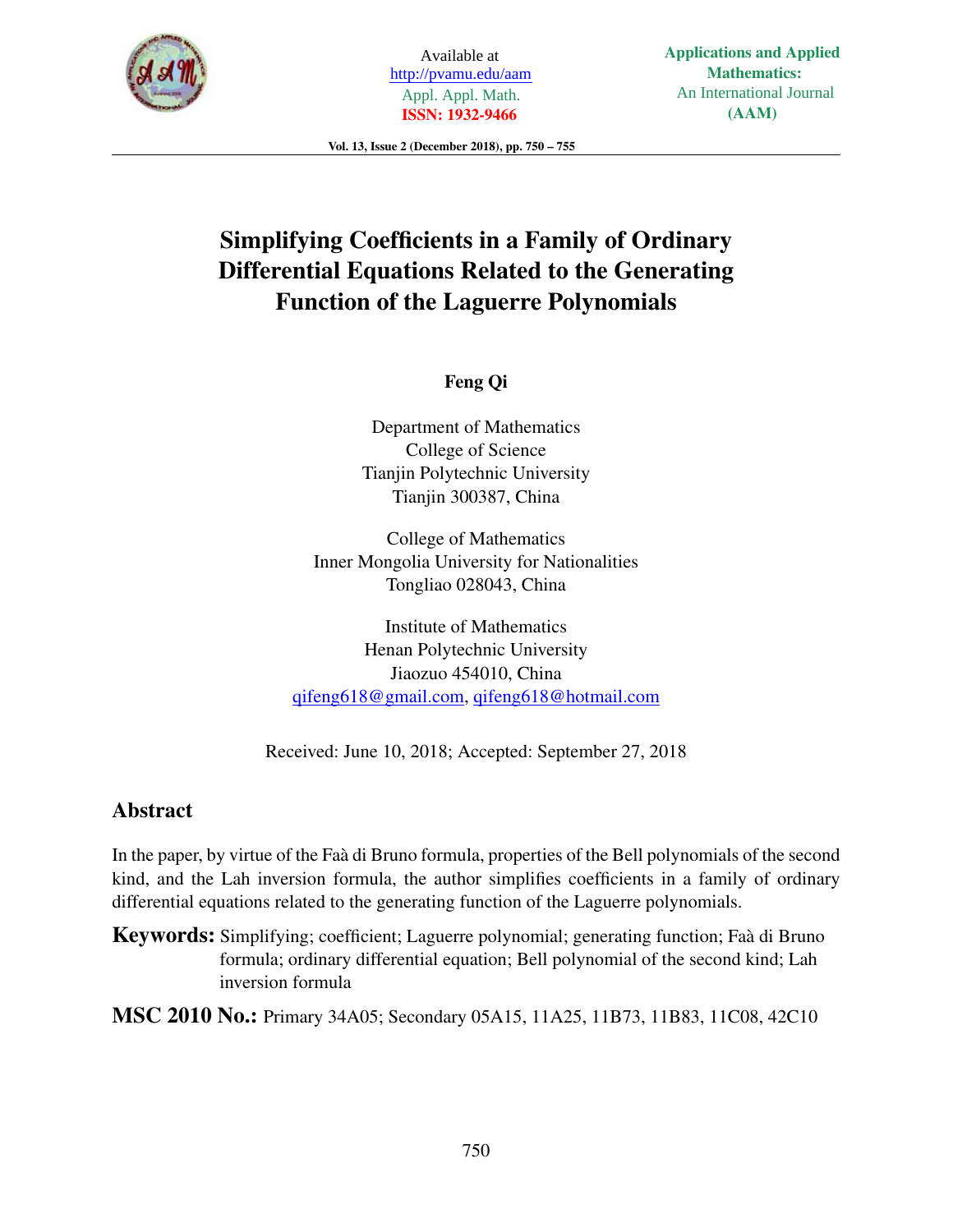

Available at http://pvamu.edu/aam Appl. Appl. Math. **ISSN: 1932-9466**

Vol. 13, Issue 2 (December 2018), pp. 750 – 755

# Simplifying Coefficients in a Family of Ordinary Differential Equations Related to the Generating Function of the Laguerre Polynomials

# Feng Qi

Department of Mathematics College of Science Tianjin Polytechnic University Tianjin 300387, China

College of Mathematics Inner Mongolia University for Nationalities Tongliao 028043, China

Institute of Mathematics Henan Polytechnic University Jiaozuo 454010, China qifeng618@gmail.com, qifeng618@hotmail.com

Received: June 10, 2018; Accepted: September 27, 2018

# Abstract

In the paper, by virtue of the Faà di Bruno formula, properties of the Bell polynomials of the second kind, and the Lah inversion formula, the author simplifies coefficients in a family of ordinary differential equations related to the generating function of the Laguerre polynomials.

Keywords: Simplifying; coefficient; Laguerre polynomial; generating function; Faà di Bruno formula; ordinary differential equation; Bell polynomial of the second kind; Lah inversion formula

MSC 2010 No.: Primary 34A05; Secondary 05A15, 11A25, 11B73, 11B83, 11C08, 42C10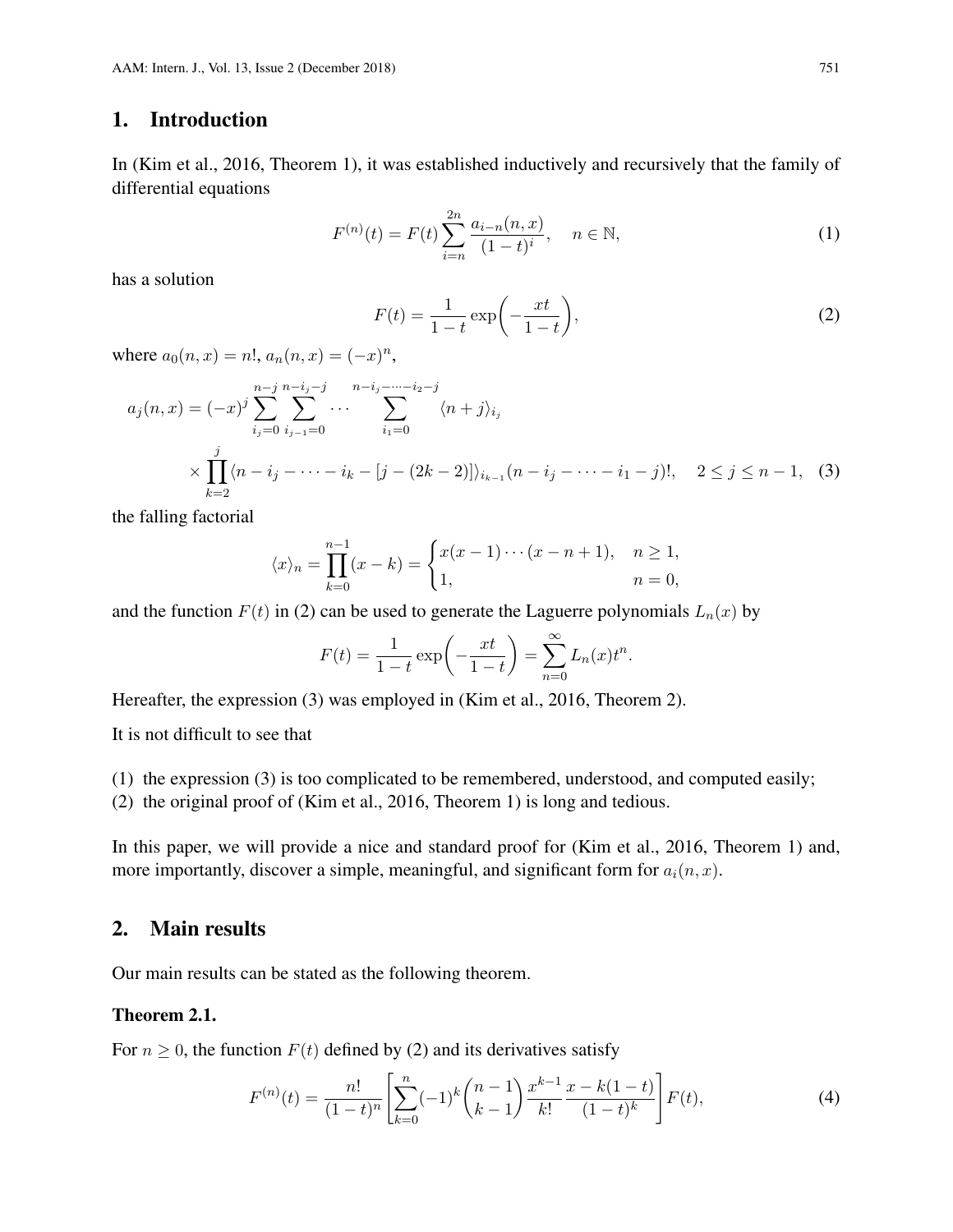#### 1. Introduction

In (Kim et al., 2016, Theorem 1), it was established inductively and recursively that the family of differential equations

$$
F^{(n)}(t) = F(t) \sum_{i=n}^{2n} \frac{a_{i-n}(n, x)}{(1-t)^i}, \quad n \in \mathbb{N},
$$
 (1)

has a solution

$$
F(t) = \frac{1}{1-t} \exp\left(-\frac{xt}{1-t}\right),\tag{2}
$$

where  $a_0(n, x) = n!$ ,  $a_n(n, x) = (-x)^n$ ,

$$
a_j(n,x) = (-x)^j \sum_{i_j=0}^{n-j} \sum_{i_{j-1}=0}^{n-i_j-j} \cdots \sum_{i_1=0}^{n-i_j-\cdots-i_2-j} \langle n+j \rangle_{i_j}
$$
  
 
$$
\times \prod_{k=2}^j \langle n-i_j-\cdots-i_k-[j-(2k-2)] \rangle_{i_{k-1}}(n-i_j-\cdots-i_1-j)!, \quad 2 \le j \le n-1, \quad (3)
$$

the falling factorial

$$
\langle x \rangle_n = \prod_{k=0}^{n-1} (x - k) = \begin{cases} x(x - 1) \cdots (x - n + 1), & n \ge 1, \\ 1, & n = 0, \end{cases}
$$

and the function  $F(t)$  in (2) can be used to generate the Laguerre polynomials  $L_n(x)$  by

$$
F(t) = \frac{1}{1-t} \exp\left(-\frac{xt}{1-t}\right) = \sum_{n=0}^{\infty} L_n(x) t^n.
$$

Hereafter, the expression (3) was employed in (Kim et al., 2016, Theorem 2).

It is not difficult to see that

(1) the expression (3) is too complicated to be remembered, understood, and computed easily;

(2) the original proof of (Kim et al., 2016, Theorem 1) is long and tedious.

In this paper, we will provide a nice and standard proof for (Kim et al., 2016, Theorem 1) and, more importantly, discover a simple, meaningful, and significant form for  $a_i(n, x)$ .

#### 2. Main results

Our main results can be stated as the following theorem.

#### Theorem 2.1.

For  $n \geq 0$ , the function  $F(t)$  defined by (2) and its derivatives satisfy

$$
F^{(n)}(t) = \frac{n!}{(1-t)^n} \left[ \sum_{k=0}^n (-1)^k {n-1 \choose k-1} \frac{x^{k-1}}{k!} \frac{x-k(1-t)}{(1-t)^k} \right] F(t),\tag{4}
$$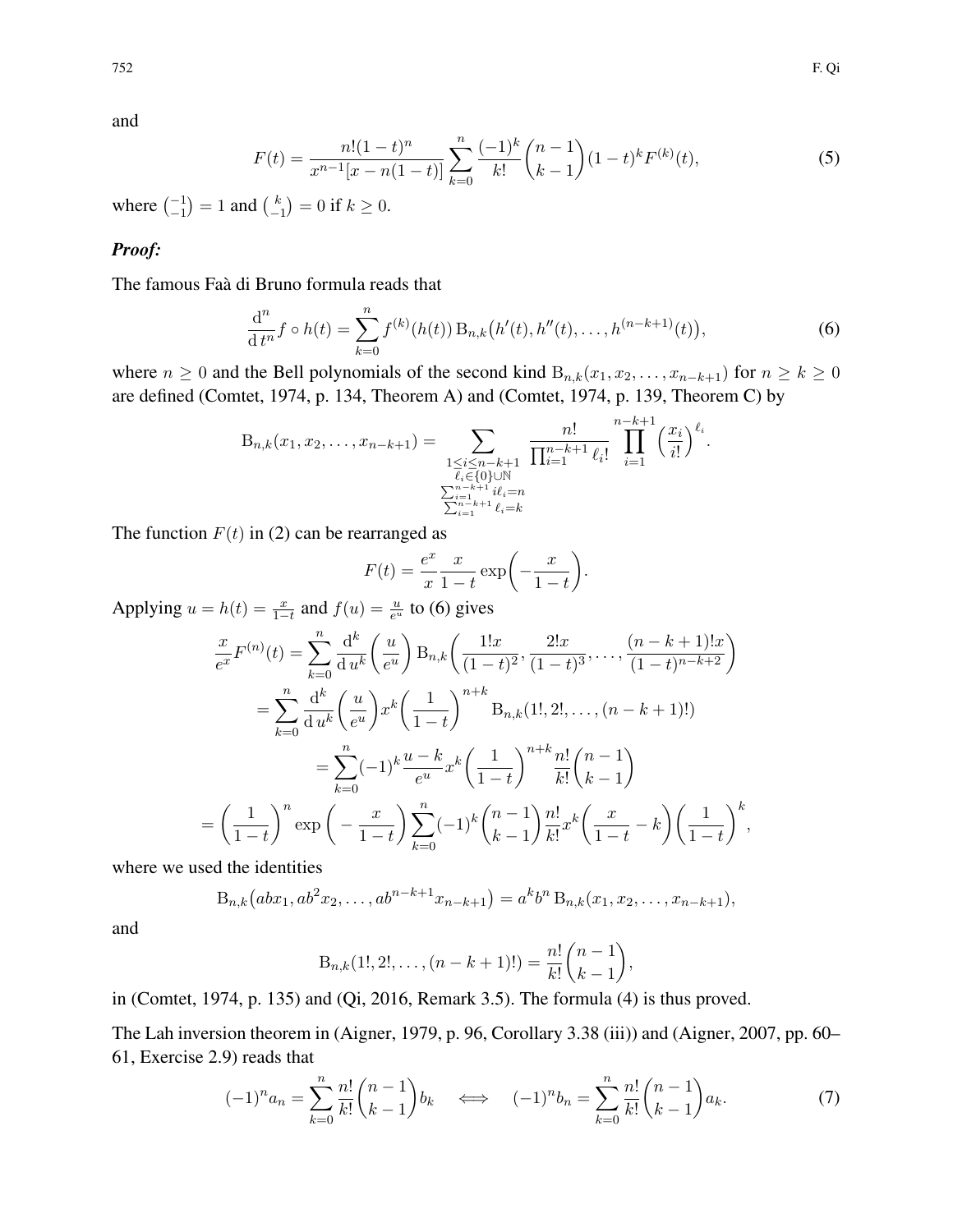and

$$
F(t) = \frac{n!(1-t)^n}{x^{n-1}[x-n(1-t)]} \sum_{k=0}^n \frac{(-1)^k}{k!} {n-1 \choose k-1} (1-t)^k F^{(k)}(t),
$$
\n(5)

where  $\binom{-1}{-1} = 1$  and  $\binom{k}{-1}$  $\binom{k}{-1} = 0$  if  $k \geq 0$ .

#### *Proof:*

The famous Faà di Bruno formula reads that

$$
\frac{d^n}{dt^n} f \circ h(t) = \sum_{k=0}^n f^{(k)}(h(t)) B_{n,k}(h'(t), h''(t), \dots, h^{(n-k+1)}(t)),
$$
\n(6)

.

,

where  $n \geq 0$  and the Bell polynomials of the second kind  $B_{n,k}(x_1, x_2, \ldots, x_{n-k+1})$  for  $n \geq k \geq 0$ are defined (Comtet, 1974, p. 134, Theorem A) and (Comtet, 1974, p. 139, Theorem C) by

$$
B_{n,k}(x_1, x_2, \ldots, x_{n-k+1}) = \sum_{\substack{1 \le i \le n-k+1 \\ \bar{\ell}_i \in \{0\} \cup \mathbb{N} \\ \sum_{i=1}^{n-k+1} i \ell_i = n \\ \sum_{i=1}^{n-k+1} \ell_i = k}} \frac{n!}{\prod_{i=1}^{n-k+1} \ell_i!} \prod_{i=1}^{n-k+1} \left(\frac{x_i}{i!}\right)^{\ell_i}.
$$

The function  $F(t)$  in (2) can be rearranged as

$$
F(t) = \frac{e^x}{x} \frac{x}{1-t} \exp\left(-\frac{x}{1-t}\right)
$$

Applying  $u = h(t) = \frac{x}{1-t}$  and  $f(u) = \frac{u}{e^u}$  to (6) gives

$$
\frac{x}{e^x} F^{(n)}(t) = \sum_{k=0}^n \frac{d^k}{du^k} \left(\frac{u}{e^u}\right) B_{n,k} \left(\frac{1!x}{(1-t)^2}, \frac{2!x}{(1-t)^3}, \dots, \frac{(n-k+1)!x}{(1-t)^{n-k+2}}\right)
$$

$$
= \sum_{k=0}^n \frac{d^k}{du^k} \left(\frac{u}{e^u}\right) x^k \left(\frac{1}{1-t}\right)^{n+k} B_{n,k} (1!, 2!, \dots, (n-k+1)!)
$$

$$
= \sum_{k=0}^n (-1)^k \frac{u-k}{e^u} x^k \left(\frac{1}{1-t}\right)^{n+k} \frac{n!}{k!} \binom{n-1}{k-1}
$$

$$
= \left(\frac{1}{1-t}\right)^n \exp\left(-\frac{x}{1-t}\right) \sum_{k=0}^n (-1)^k \binom{n-1}{k-1} \frac{n!}{k!} x^k \left(\frac{x}{1-t} - k\right) \left(\frac{1}{1-t}\right)^k,
$$

where we used the identities

$$
B_{n,k}(abx_1, ab^2x_2, \dots, ab^{n-k+1}x_{n-k+1}) = a^k b^n B_{n,k}(x_1, x_2, \dots, x_{n-k+1}),
$$

and

$$
B_{n,k}(1!,2!,\ldots,(n-k+1)!)=\frac{n!}{k!}\binom{n-1}{k-1}
$$

in (Comtet, 1974, p. 135) and (Qi, 2016, Remark 3.5). The formula (4) is thus proved.

The Lah inversion theorem in (Aigner, 1979, p. 96, Corollary 3.38 (iii)) and (Aigner, 2007, pp. 60– 61, Exercise 2.9) reads that

$$
(-1)^n a_n = \sum_{k=0}^n \frac{n!}{k!} \binom{n-1}{k-1} b_k \iff (-1)^n b_n = \sum_{k=0}^n \frac{n!}{k!} \binom{n-1}{k-1} a_k.
$$
 (7)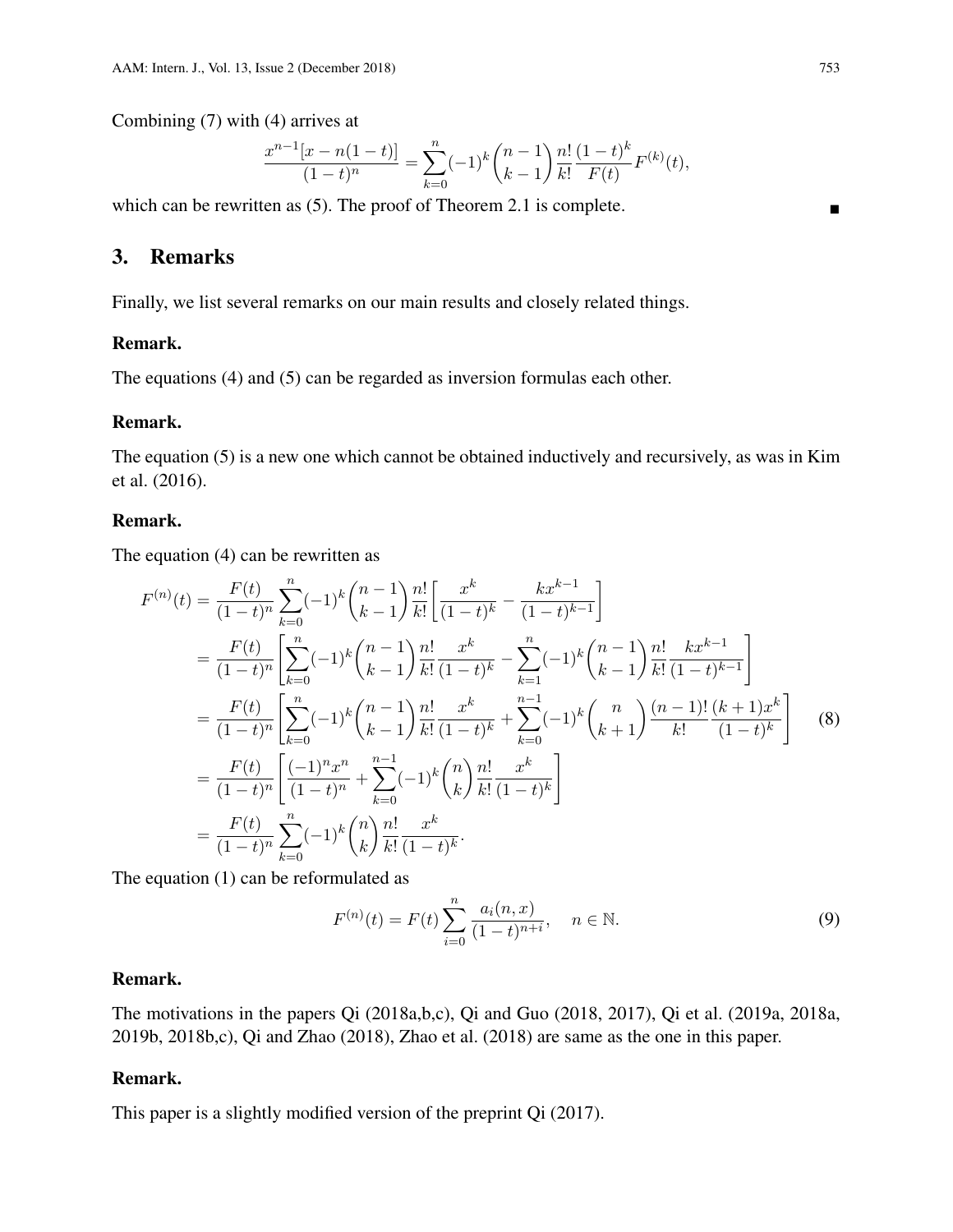Combining (7) with (4) arrives at

$$
\frac{x^{n-1}[x-n(1-t)]}{(1-t)^n} = \sum_{k=0}^n (-1)^k \binom{n-1}{k-1} \frac{n!}{k!} \frac{(1-t)^k}{F(t)} F^{(k)}(t),
$$

which can be rewritten as (5). The proof of Theorem 2.1 is complete.

## 3. Remarks

Finally, we list several remarks on our main results and closely related things.

#### Remark.

The equations (4) and (5) can be regarded as inversion formulas each other.

#### Remark.

The equation (5) is a new one which cannot be obtained inductively and recursively, as was in Kim et al. (2016).

#### Remark.

The equation (4) can be rewritten as

$$
F^{(n)}(t) = \frac{F(t)}{(1-t)^n} \sum_{k=0}^n (-1)^k {n-1 \choose k-1} \frac{n!}{k!} \left[ \frac{x^k}{(1-t)^k} - \frac{kx^{k-1}}{(1-t)^{k-1}} \right]
$$
  
\n
$$
= \frac{F(t)}{(1-t)^n} \left[ \sum_{k=0}^n (-1)^k {n-1 \choose k-1} \frac{n!}{k!} \frac{x^k}{(1-t)^k} - \sum_{k=1}^n (-1)^k {n-1 \choose k-1} \frac{n!}{k!} \frac{kx^{k-1}}{(1-t)^{k-1}} \right]
$$
  
\n
$$
= \frac{F(t)}{(1-t)^n} \left[ \sum_{k=0}^n (-1)^k {n-1 \choose k-1} \frac{n!}{k!} \frac{x^k}{(1-t)^k} + \sum_{k=0}^{n-1} (-1)^k {n \choose k+1} \frac{(n-1)!}{k!} \frac{(k+1)x^k}{(1-t)^k} \right]
$$
  
\n
$$
= \frac{F(t)}{(1-t)^n} \left[ \frac{(-1)^n x^n}{(1-t)^n} + \sum_{k=0}^{n-1} (-1)^k {n \choose k} \frac{n!}{k!} \frac{x^k}{(1-t)^k} \right]
$$
  
\n
$$
= \frac{F(t)}{(1-t)^n} \sum_{k=0}^n (-1)^k {n \choose k} \frac{n!}{k!} \frac{x^k}{(1-t)^k}.
$$
 (8)

The equation (1) can be reformulated as

$$
F^{(n)}(t) = F(t) \sum_{i=0}^{n} \frac{a_i(n, x)}{(1 - t)^{n + i}}, \quad n \in \mathbb{N}.
$$
 (9)

#### Remark.

The motivations in the papers Qi (2018a,b,c), Qi and Guo (2018, 2017), Qi et al. (2019a, 2018a, 2019b, 2018b,c), Qi and Zhao (2018), Zhao et al. (2018) are same as the one in this paper.

#### Remark.

This paper is a slightly modified version of the preprint Qi (2017).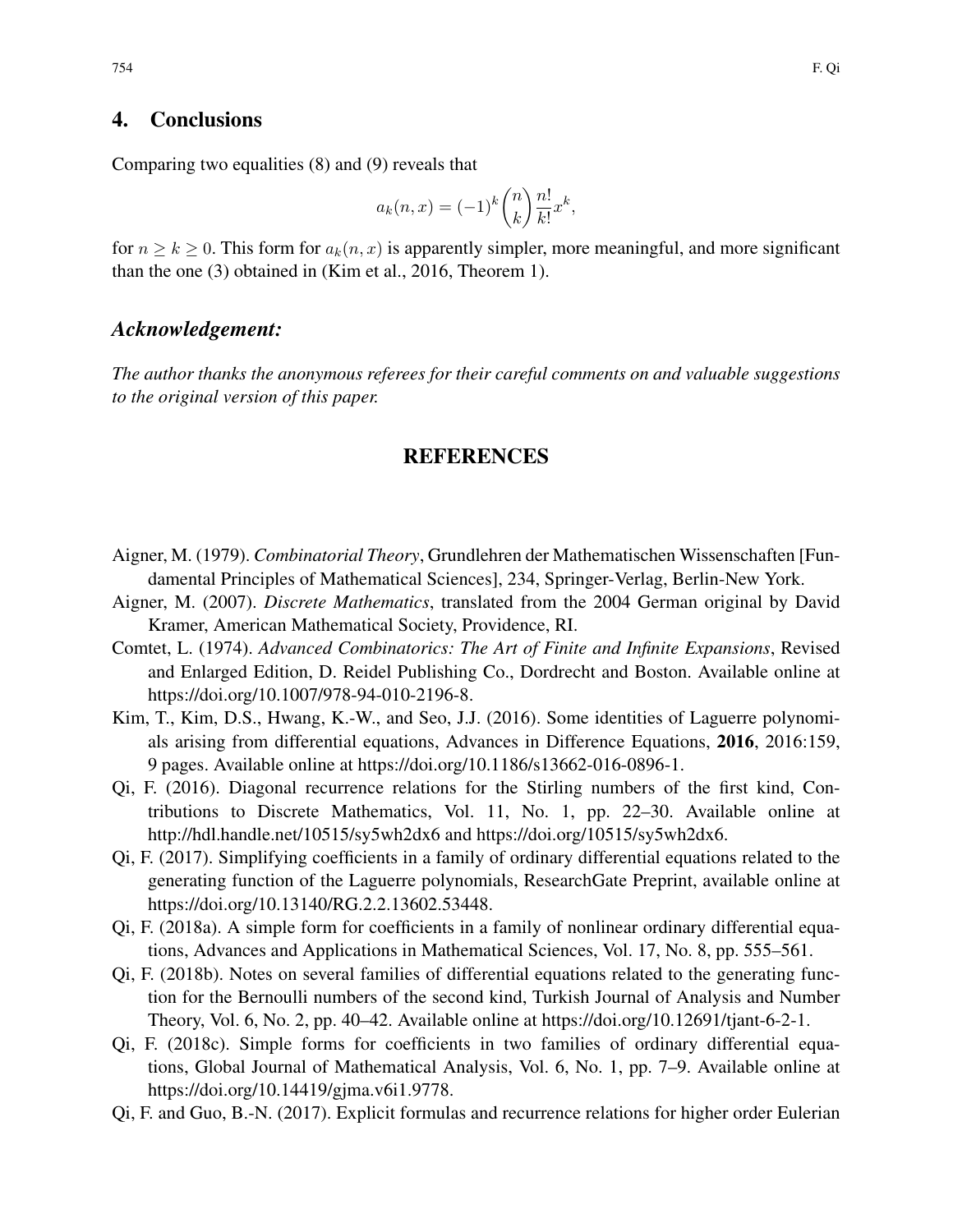### 4. Conclusions

Comparing two equalities (8) and (9) reveals that

$$
a_k(n,x) = (-1)^k \binom{n}{k} \frac{n!}{k!} x^k,
$$

for  $n \ge k \ge 0$ . This form for  $a_k(n, x)$  is apparently simpler, more meaningful, and more significant than the one (3) obtained in (Kim et al., 2016, Theorem 1).

#### *Acknowledgement:*

*The author thanks the anonymous referees for their careful comments on and valuable suggestions to the original version of this paper.*

#### REFERENCES

- Aigner, M. (1979). *Combinatorial Theory*, Grundlehren der Mathematischen Wissenschaften [Fundamental Principles of Mathematical Sciences], 234, Springer-Verlag, Berlin-New York.
- Aigner, M. (2007). *Discrete Mathematics*, translated from the 2004 German original by David Kramer, American Mathematical Society, Providence, RI.
- Comtet, L. (1974). *Advanced Combinatorics: The Art of Finite and Infinite Expansions*, Revised and Enlarged Edition, D. Reidel Publishing Co., Dordrecht and Boston. Available online at https://doi.org/10.1007/978-94-010-2196-8.
- Kim, T., Kim, D.S., Hwang, K.-W., and Seo, J.J. (2016). Some identities of Laguerre polynomials arising from differential equations, Advances in Difference Equations, 2016, 2016:159, 9 pages. Available online at https://doi.org/10.1186/s13662-016-0896-1.
- Qi, F. (2016). Diagonal recurrence relations for the Stirling numbers of the first kind, Contributions to Discrete Mathematics, Vol. 11, No. 1, pp. 22–30. Available online at http://hdl.handle.net/10515/sy5wh2dx6 and https://doi.org/10515/sy5wh2dx6.
- Qi, F. (2017). Simplifying coefficients in a family of ordinary differential equations related to the generating function of the Laguerre polynomials, ResearchGate Preprint, available online at https://doi.org/10.13140/RG.2.2.13602.53448.
- Qi, F. (2018a). A simple form for coefficients in a family of nonlinear ordinary differential equations, Advances and Applications in Mathematical Sciences, Vol. 17, No. 8, pp. 555–561.
- Qi, F. (2018b). Notes on several families of differential equations related to the generating function for the Bernoulli numbers of the second kind, Turkish Journal of Analysis and Number Theory, Vol. 6, No. 2, pp. 40–42. Available online at https://doi.org/10.12691/tjant-6-2-1.
- Qi, F. (2018c). Simple forms for coefficients in two families of ordinary differential equations, Global Journal of Mathematical Analysis, Vol. 6, No. 1, pp. 7–9. Available online at https://doi.org/10.14419/gjma.v6i1.9778.
- Qi, F. and Guo, B.-N. (2017). Explicit formulas and recurrence relations for higher order Eulerian